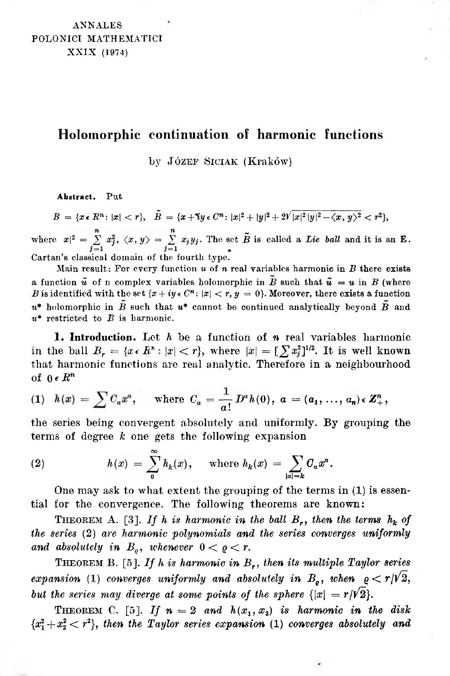## **Holomorphic continuation of harmonie functions**

by Józef Siciak (Kraków)

**Abstract.** Put

 $B = \{x \in \mathbb{R}^n : |x| < r\}, \quad \tilde{B} = \{x + \tilde{i}y \in \mathbb{C}^n : |x|^2 + |y|^2 + 2\sqrt{|x|^2|y|^2 - \langle x, y \rangle^2} < r^2\},\$ 

where  $x|^2 = \sum_{j=1}^n x_j^2$ ,  $\langle x, y \rangle = \sum_{j=1}^n x_j y_j$ . The set  $\tilde{B}$  is called a *Lie ball* and it is an **E**. Cartan's classical domain of the fourth type.

Main result: For every function *u* of *n* real variables harmonic in *B* there exists a function  $\tilde{u}$  of n complex variables holomorphic in  $\tilde{B}$  such that  $\tilde{u} = u$  in *B* (where *B* is identified with the set  $\{x + iy \in C^n : |x| < r, y = 0\}$ . Moreover, there exists a function  $u^*$  holomorphic in  $\tilde{B}$  such that  $u^*$  cannot be continued analytically beyond  $\tilde{B}$  and *u\** restricted to *B* is harmonic.

**1. Introduction.** Let *h* be a function of *n* real variables harmonic in the ball  $B_r = \{x \in \mathbb{R}^n : |x| < r\}$ , where  $|x| = \left[\sum x_i^2\right]^{1/2}$ . It is well known that harmonic functions are real analytic. Therefore in a neighbourhood of  $0 \in R^n$ 

(1) 
$$
h(x) = \sum C_a x^a
$$
, where  $C_a = \frac{1}{a!} D^a h(0)$ ,  $a = (a_1, ..., a_n) \in \mathbb{Z}_+^n$ ,

the series being convergent absolutely and uniformly. By grouping the terms of degree *k* one gets the following expansion

(2) 
$$
h(x) = \sum_{0}^{\infty} h_k(x), \quad \text{where } h_k(x) = \sum_{|a|=k} C_a x^a.
$$

One may ask to what extent the grouping of the terms in (1) is essential for the convergence. The following theorems are known:

THEOREM A. [\[3\].](#page-6-0) If *h* is harmonic in the ball  $B_r$ , then the terms  $h_k$  of *the series* (2) *are harmonic polynomials and the series converges uniformly and absolutely in*  $B<sub>o</sub>$ , *whenever*  $0 < \varrho < r$ .

<sup>T</sup>heorem B. [\[5\].](#page-6-1) *If <sup>h</sup> is harmonic in Br, then its multiple Taylor series expansion* (1) *converges uniformly and absolutely in*  $B_{\rho}$ , *when*  $\rho < r/V2$ , *but* the series may diverge at some points of the sphere  $\{|x| = r/\sqrt{2}\}$ .

THEOREM C. [\[5\].](#page-6-2) If  $n = 2$  and  $h(x_1, x_2)$  is harmonic in the disk  ${x_1^2 + x_2^2 < r^2}$ , then the Taylor series expansion (1) converges absolutely and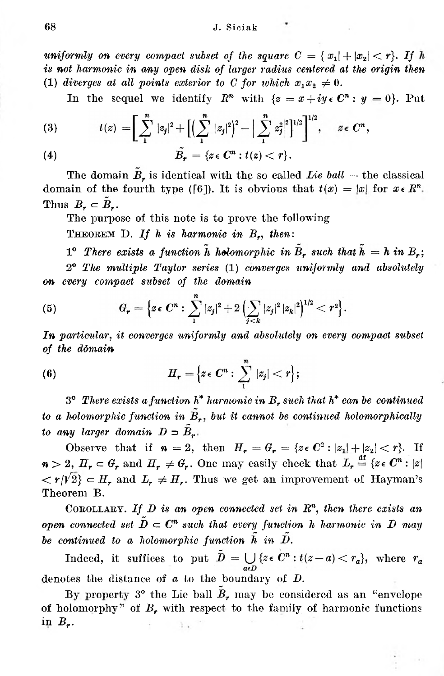uniformly on every compact subset of the square  $C = \{|x_1| + |x_2| < r\}$ . If h *is not harmonic in any open disk of larger radius centered at the origin then* (1) *diverges* at all points exterior to C for which  $x_1x_2 \neq 0$ .

In the sequel we identify  $R^n$  with  $\{z = x + iy \in C^n : y = 0\}$ . Put

(3) 
$$
t(z) = \left[ \sum_{1}^{n} |z_{j}|^{2} + \left[ \left( \sum_{1}^{n} |z_{j}|^{2} \right)^{2} - \left| \sum_{1}^{n} z_{j}^{2} \right|^{2} \right]^{1/2} \right]^{1/2}, \quad z \in C^{n},
$$
  
(4) 
$$
\tilde{B}_{r} = \{ z \in C^{n} : t(z) < r \}.
$$

The domain  $\tilde{B}_r$  is identical with the so called *Lie ball* – the classical domain of the fourth type ([6]). It is obvious that  $t(x) = |x|$  for  $x \in \mathbb{R}^n$ . Thus  $B_r \subset \tilde{B}_r$ .

The purpose of this note is to prove the following

<sup>T</sup>heorem D. *If <sup>h</sup> is harmonic in Br, then:*

 $1^{\circ}$  *There exists a function*  $\tilde{h}$  *holomorphic in*  $\tilde{B}_r$  *such that*  $\tilde{h} = h$  *in*  $B_r$ ;

2<sup>0</sup> *The multiple Taylor series* (1) *converges uniformly and absolutely on every compact subset of the domain*

(5) 
$$
G_{r} = \left\{ z \in \mathbb{C}^{n} : \sum_{1}^{n} |z_{j}|^{2} + 2 \left( \sum_{j < k} |z_{j}|^{2} |z_{k}|^{2} \right)^{1/2} < r^{2} \right\}.
$$

*In particular, it converges uniformly and absolutely on every compact subset of the domain*

(6) 
$$
H_r = \left\{ z \in \mathbb{C}^n : \sum_{1}^n |z_j| < r \right\};
$$

3<sup>o</sup> *There exists a function h\* harmonic in B<sup>r</sup> such that h\* can be continued to a holomorphic function in*  $\tilde{B}_r$ , *but it cannot be continued holomorphically to any larger domain*  $D \supset \tilde{B}_{r}$ .

 $\langle \langle r / r^2 \rangle \rangle$   $\subset$  *H<sub>r</sub>* and  $L_r \neq H_r$ . Thus we get an improvement of Hayman's Observe that if  $n = 2$ , then  $H_r = G_r = \{z \in C^2 : |z_1| + |z_2| < r\}$ . If  $n > 2$ ,  $H_r \subset G_r$  and  $H_r \neq G_r$ . One may easily check that  $L_r \stackrel{\text{df}}{=} \{z \in C^n : |z|$ Theorem B.

<sup>C</sup>orollary. *If D is an open connected set in R<sup>n</sup>, then there exists an open* connected set  $\tilde{D} \subset \mathbb{C}^n$  such that every function *h harmonic in D may be continued to a holomorphic function in*

Indeed, it suffices to put  $\tilde{D} = \bigcup_{n=0} \{z \in C^n : t(z-a) < r_a\},\$  where  $r_a$ denotes the distance of *a* to the boundary of *D.*

of holomorphy" of *B<sup>r</sup>* with respect to the family of harmonic functions in *Br.* By property 3<sup>o</sup> the Lie ball  $B_r$  may be considered as an "envelope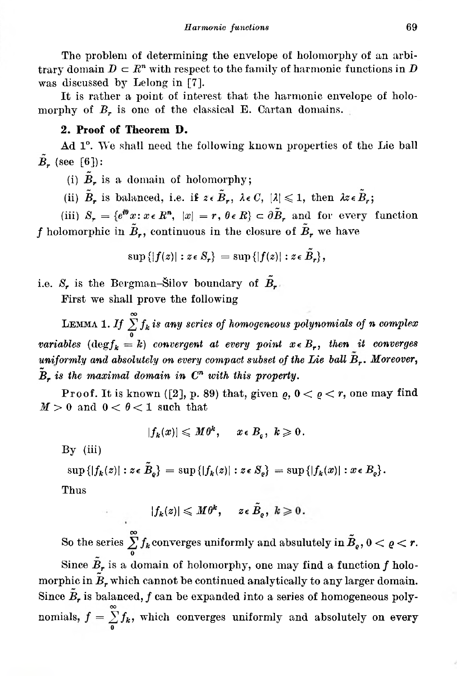The problem of determining the envelope of holomorphy of an arbitrary domain  $D \subset \mathbb{R}^n$  with respect to the family of harmonic functions in *D* was discussed by Lelong in [7].

It is rather a point of interest that the harmonic envelope of holomorphy of *B<sub>r</sub>* is one of the classical E. Cartan domains.

## **2. Proof of Theorem D.**

Ad 1<sup>o</sup>. We shall need the following known properties of the Lie ball  $\tilde{B}_r$  (see [\[6\]](#page-6-3)):

(i)  $\tilde{B}_r$  is a domain of holomorphy;

(ii)  $\tilde{B}_r$  is balanced, i.e. if  $z \in \tilde{B}_r$ ,  $\lambda \in C$ ,  $|\lambda| \leq 1$ , then  $\lambda z \in \tilde{B}_r$ ;

(iii)  $S_r = \{e^{i\theta}x : x \in \mathbb{R}^n, |x| = r, \theta \in \mathbb{R}\}\subset \partial \tilde{B}_r$  and for every function *f* holomorphic in  $\tilde{B}_r$ , continuous in the closure of  $\tilde{B}_r$  we have

$$
\sup\left\{|f(z)| : z \in S_r\right\} = \sup\left\{|f(z)| : z \in \tilde{B}_r\right\},\
$$

i.e.  $S_r$  is the Bergman-Silov boundary of  $\tilde{B}_r$ .

First we shall prove the following

LEMMA 1. *If*  $\sum_{n=0}^{\infty} f_k$  *is any series of homogeneous polynomials of n complex variables*  $(\text{deg} f_k = k)$  *convergent at every point*  $x \in B_r$ *, then it converges uniformly and absolutely on every compact subset of the Lie ball Moreover, is the maximal domain in C<sup>n</sup> with this property.*

Proof. It is known ([2], p. 89) that, given  $\rho$ ,  $0 < \rho < r$ , one may find  $M > 0$  and  $0 < \theta < 1$  such that

$$
|f_k(x)|\leqslant M\theta^k,\quad x\in B_\varrho,\,\,k\geqslant 0\,.
$$

 $Bv$  (iii)

$$
\sup\left\{|f_k(z)| : z \in \tilde{B}_\varrho\right\} = \sup\left\{|f_k(z)| : z \in S_\varrho\right\} = \sup\left\{|f_k(x)| : x \in B_\varrho\right\}.
$$

Thus

$$
|f_k(z)|\leqslant M\theta^k,\quad \ \, z\,\epsilon\,\,\tilde{B}_\varrho\,,\,\,k\geqslant 0\,.
$$

So the series  $\sum_{\alpha}^{\infty} f_k$  converges uniformly and absulutely in  $\tilde{B}_e$ ,  $0 < \varrho < r$ . Since  $\tilde{B}_r$  is a domain of holomorphy, one may find a function  $f$  holomorphic in  $B_r$  which cannot be continued analytically to any larger domain. Since  $\tilde{B}_r$  is balanced,  $f$  can be expanded into a series of homogeneous polynomials,  $f = \sum f_{\bm{k}} ,$  which converges uniformly and absolutely on every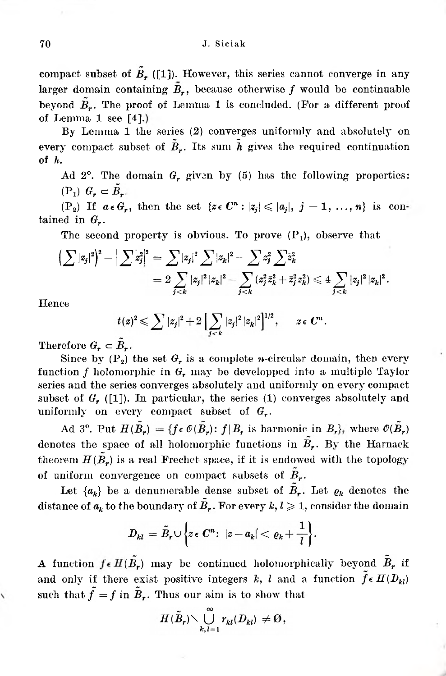of Lemma 1 see  $[4]$ .) beyond  $\tilde{B}_r$ . The proof of Lemma 1 is concluded. (For a different proof larger domain containing  $\tilde{B}_r$ , because otherwise f would be continuable compact subset of  $\tilde{B}_r$  [\(\[1\]\)](#page-5-0). However, this series cannot converge in any

By Lemma 1 the series (2) converges uniformly and absolutely on every compact subset of  $\tilde{B}_r$ . Its sum  $\tilde{h}$  gives the required continuation of *h.*

 $(P_1)$   $G_r \subset \tilde{B}_r$ . Ad  $2^{\circ}$ . The domain  $G_r$ , given by (5) has the following properties:

(P<sub>2</sub>) If  $a \in G_r$ , then the set  $\{z \in C^n : |z_i| \leqslant |a_i|, j = 1, ..., n\}$  is contained in *Gr.*

The second property is obvious. To prove (P<sub>1</sub>), observe that\n
$$
\left(\sum |z_j|^2\right)^2 - \left|\sum z_j^2\right|^2 = \sum |z_j|^2 \sum |z_k|^2 - \sum z_j^2 \sum \bar{z}_k^2
$$
\n
$$
= 2 \sum_{j < k} |z_j|^2 |z_k|^2 - \sum_{j < k} (z_j^2 \bar{z}_k^2 + \bar{z}_j^2 z_k^2) \leq 4 \sum_{j < k} |z_j|^2 |z_k|^2.
$$

Hence

$$
t(z)^2 \leqslant \sum |z_j|^2 + 2 \left[ \sum_{j < k} |z_j|^2 |z_k|^2 \right]^{1/2}, \qquad z \in C^n.
$$

Therefore  $G_r \subset B_r$ .

Since by  $(P_2)$  the set  $G_r$  is a complete *n*-circular domain, then every function *f* holomorphic in *<sup>G</sup><sup>r</sup>* may be developped into <sup>a</sup> multiple Taylor series and the series converges absolutely and uniformly on every compact subset of  $G_r$  ([\[1\]\)](#page-5-1). In particular, the series (1) converges absolutely and uniformly on every compact subset of *Gr.*

denotes the space of all holomorphic functions in  $\tilde{B}_r$ . By the Harnack theorem  $H(\tilde{B}_r)$  is a real Frechet space, if it is endowed with the topology of uniform convergence on compact subsets of  $\tilde{B}_r$ . Ad 3<sup>o</sup>. Put  $H(\tilde{B}_r) = \{f \in \mathcal{O}(\tilde{B}_r): f | B_r \text{ is harmonic in } B_r\}$ , where  $\mathcal{O}(\tilde{B}_r)$ 

Let  ${a_k}$  be a denumerable dense subset of  $B_r$ . Let  $\varrho_k$  denotes the distance of  $a_k$  to the boundary of  $\tilde{B}_r$ . For every  $k, l \geq 1$ , consider the domain

$$
D_{kl} = \tilde{B}_r \cup \left\{ z \in \mathbb{C}^n \colon \left| z - a_k \right| < \varrho_k + \frac{1}{l} \right\}.
$$

and only if there exist positive integers *k, l* and a function  $f \in H(D_{kl})$ A function  $f \in H(\tilde{B}_r)$  may be continued holomorphically beyond  $\tilde{B}_r$  if such that  $\tilde{f} = f$  in  $\tilde{B}_r$ . Thus our aim is to show that

$$
H(\tilde{B}_r) \setminus \bigcup_{k,l=1}^{\infty} r_{kl}(D_{kl}) \neq \emptyset,
$$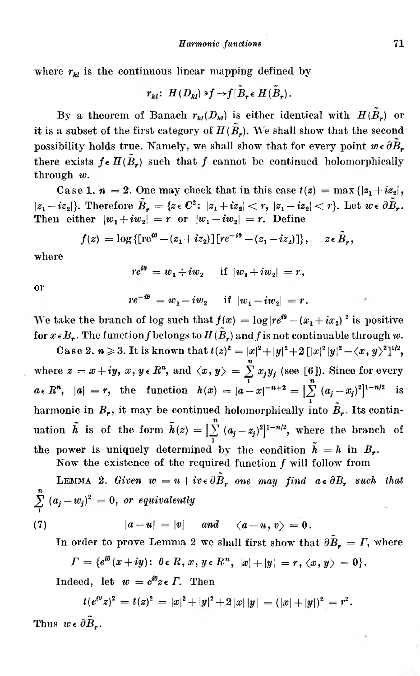where  $r_{kl}$  is the continuous linear mapping defined by

$$
r_{kl}: H(D_{kl}) \ni f \rightarrow f | \tilde{B}_r \in H(\tilde{B}_r).
$$

By a theorem of Banach  $r_{kl}(D_{kl})$  is either identical with  $H(B_r)$  or it is a subset of the first category of  $H(\tilde{B}_r)$ . We shall show that the second possibility holds true. Namely, we shall show that for every point  $w \in \partial \tilde{B}_r$ there exists  $f \in H(\tilde{B}_r)$  such that f cannot be continued holomorphically through *w.*

Case 1.  $\mathbf{n} = 2$ . One may check that in this case  $t(z) = \max\{|z_1 + iz_2|,$  $|z_1 - iz_2|$ }. Therefore  $\tilde{B}_r = \{z \in C^2 \colon |z_1 + iz_2| < r, |z_1 - iz_2| < r \}$ . Let  $w \in \partial \bar{B}_r$ . Then either  $|w_1 + iw_2| = r$  or  $|w_1 - iw_2| = r$ . Define

$$
f(z) = \log \{ [\text{re}^{i\theta} - (z_1 + iz_2)] [re^{-i\theta} - (z_1 - iz_2)] \}, \quad z \in \tilde{B}_r
$$

where

$$
re^{i\theta} = w_1 + iw_2 \quad \text{if } |w_1 + iw_2| = r,
$$

or

$$
re^{-i\theta} = w_1 - iw_2
$$
 if  $|w_1 - iw_2| = r$ .

We take the branch of log such that  $f(x) = \log |re^{i\theta} - (x_1 + ix_2)|^2$  is positive for  $x \in B_r$ . The function f belongs to  $H(\tilde{B}_r)$  and f is not continuable through w.

Case 2.  $n \ge 3$ . It is known that  $t(z)^2 = |x|^2 + |y|^2 + 2(|x|^2|y|^2 - \langle x, y \rangle^2]^{1/2}$ , where  $z = x + iy$ ,  $x, y \in \mathbb{R}^n$ , and  $\langle x, y \rangle = \sum_{n=1}^{n} x_j y_j$  (see [6]). Since for every  $a \in R^n$ ,  $|a| = r$ , the function  $h(x) = |a-x|^{-n+2} = \left[\sum_{n=1}^{n} (a_i - x_i)^2\right]^{1-n/2}$  is harmonic in  $B_r$ , it may be continued holomorphically into  $\tilde{B}_r$ . Its continuation  $\tilde{h}$  is of the form  $\tilde{h}(z) = \left[\sum_{i=1}^{n} (a_i - z_j)^2\right]^{1-n/2}$ , where the branch of the power is uniquely determined by the condition  $\tilde{h} = h$  in  $B_r$ .

Now the existence of the required function *f* will follow from

LEMMA 2. *Given*  $w = u + iv \in \partial \tilde{B}_r$  one may find  $a \in \partial B_r$  such that *or equivalently*

(7) 
$$
|a-u|=|v|
$$
 and  $\langle a-u, v \rangle = 0$ .

In order to prove Lemma 2 we shall first show that  $\partial \tilde{B}_r = \Gamma$ , where

$$
\Gamma=\{e^{i\theta}(x+iy)\colon\ \theta\,\epsilon\,R,\,x,\,y\,\epsilon\,R^n,\,\,|x|+|y|\,=\,r,\,\langle x,\,y\rangle\,=\,0\}.
$$

Indeed, let  $w = e^{i\theta} z \in \Gamma$ . Then

$$
t(e^{i\theta}z)^2 = t(z)^2 = |x|^2 + |y|^2 + 2|x| |y| = (|x| + |y|)^2 = r^2.
$$

Thus  $w \in \partial B_r$ .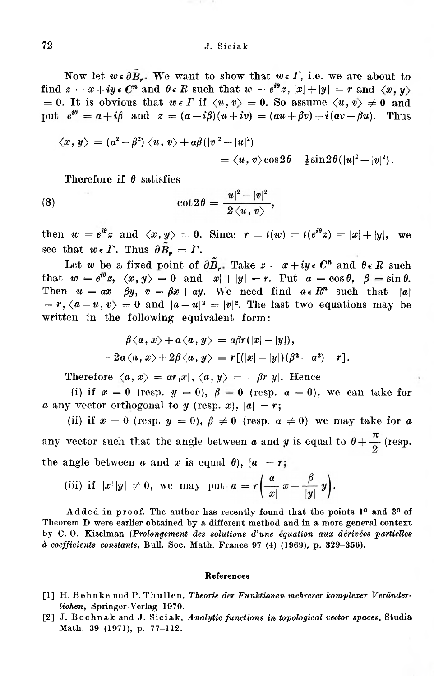## 72 J. Siciak

Now let  $w \in \partial B_r$ . We want to show that  $w \in \Gamma$ , i.e. we are about to find  $z = x + iy \in \mathbb{C}^n$  and  $\theta \in \mathbb{R}$  such that  $w = e^{i\theta}z$ ,  $|x| + |y| = r$  and  $\langle x, y \rangle$ = 0. It is obvious that  $w \in \Gamma$  if  $\langle u, v \rangle = 0$ . So assume  $\langle u, v \rangle \neq 0$  and put  $e^{i\theta} = a + i\beta$  and  $z = (a - i\beta)(u + iv) = (au + \beta v) + i(av - \beta u)$ . Thus

$$
\langle x, y \rangle = (a^2 - \beta^2) \langle u, v \rangle + a\beta (|v|^2 - |u|^2)
$$
  
=  $\langle u, v \rangle \cos 2\theta - \frac{1}{2} \sin 2\theta (|u|^2 - |v|^2).$ 

Therefore if  $\theta$  satisfies

(8) 
$$
\cot 2\theta = \frac{|u|^2 - |v|^2}{2\langle u, v\rangle},
$$

then  $w = e^{i\theta}z$  and  $\langle x, y \rangle = 0$ . Since  $r = t(w) = t(e^{i\theta}z) = |x| + |y|$ , we see that  $w \in \Gamma$ . Thus  $\partial \tilde{B}_r = \Gamma$ .

Let *w* be a fixed point of  $\partial \tilde{B}_r$ . Take  $z = x + iy \in C^n$  and  $\theta \in R$  such that  $w = e^{i\theta}z$ ,  $\langle x, y \rangle = 0$  and  $|x| + |y| = r$ . Put  $a = \cos \theta$ ,  $\beta = \sin \theta$ . Then  $u = ax - \beta y$ ,  $v = \beta x + ay$ . We need find  $a \in \mathbb{R}^n$  such that  $|a|$  $r = r, \langle a - u, v \rangle = 0$  and  $|a - u|^2 = |v|^2$ . The last two equations may be written in the following equivalent form:

$$
\beta \langle a, x \rangle + \alpha \langle a, y \rangle = a \beta r(|x| - |y|),
$$
  

$$
-2\alpha \langle a, x \rangle + 2\beta \langle a, y \rangle = r[(|x| - |y|)(\beta^2 - \alpha^2) - r].
$$

Therefore  $\langle a, x \rangle = ar|x|, \langle a, y \rangle = -\beta r|y|$ . Hence

(i) if  $x = 0$  (resp.  $y = 0$ ),  $\beta = 0$  (resp.  $\alpha = 0$ ), we can take for *a* any vector orthogonal to *y* (resp. *x*),  $|a| = r$ ;

(ii) if  $x = 0$  (resp.  $y = 0$ ),  $\beta \neq 0$  (resp.  $\alpha \neq 0$ ) we may take for *a* any vector such that the angle between *a* and *y* is equal to  $\theta + \frac{\pi}{2}$  (resp. the angle between *a* and *x* is equal  $\theta$ ,  $|a| = r$ ;

(iii) if 
$$
|x| |y| \neq 0
$$
, we may put  $a = r \left( \frac{a}{|x|} x - \frac{\beta}{|y|} y \right)$ .

Added in proof. The author has recently found that the points 1<sup>o</sup> and 3<sup>o</sup> of Theorem D were earlier obtained by a different method and in a more general context by C. 0. Kiselman **(***Prolongement des solutions d,une équation aux dérivées partielles à coefficients constants,* Bull. Soc. Math. France 97 (4) (1969), p. 329-356).

## **References**

- <span id="page-5-1"></span><span id="page-5-0"></span>[1] H. Behnke und P. Thullen, *Theorie der Funktionen mehrerer komplexer Veränderlichen,* Springer-Verlag 1970.
- [2] J. Bochnak and J. Siciak, *Analytic functions in topological vector spaces,* Studia Math. 39 (1971), p. 77-112.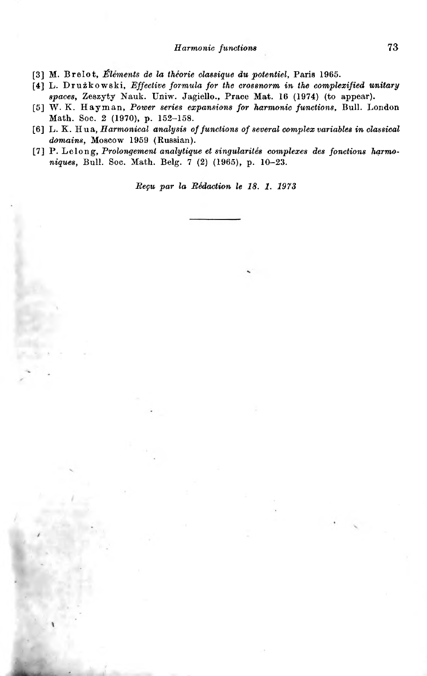<span id="page-6-0"></span>[3] M. Brelot, *Élements de la théorie classique du potentiel,* Paris 1965.

- <span id="page-6-4"></span><span id="page-6-2"></span><span id="page-6-1"></span>[4] L. Dru kowski, *Effective formula for the crossnorm in the complexified unitary spaces,* Zeszyty Nauk. Uniw. Jagiełło., Prace Mat. 16 (1974) (to appear).
- <span id="page-6-3"></span>[5] W. K. Hayman, *Power series expansions for harmonic functions,* Bull. London Math. Soc. 2 (1970), p. 152-158.
- [6] L. K. *Hua, Harmonical analysis offunctions of several complex variables in classical domains,* Moscow 1959 (Russian).
- [7] P. Lelong, *Prolongement analytique et singularités complexes des fonctions hąrmoniques,* Bull. Soc. Math. Belg. 7 (2) (1965), p. 10-23.

*Beςu par la Rédaction le 18. 1. 1973*